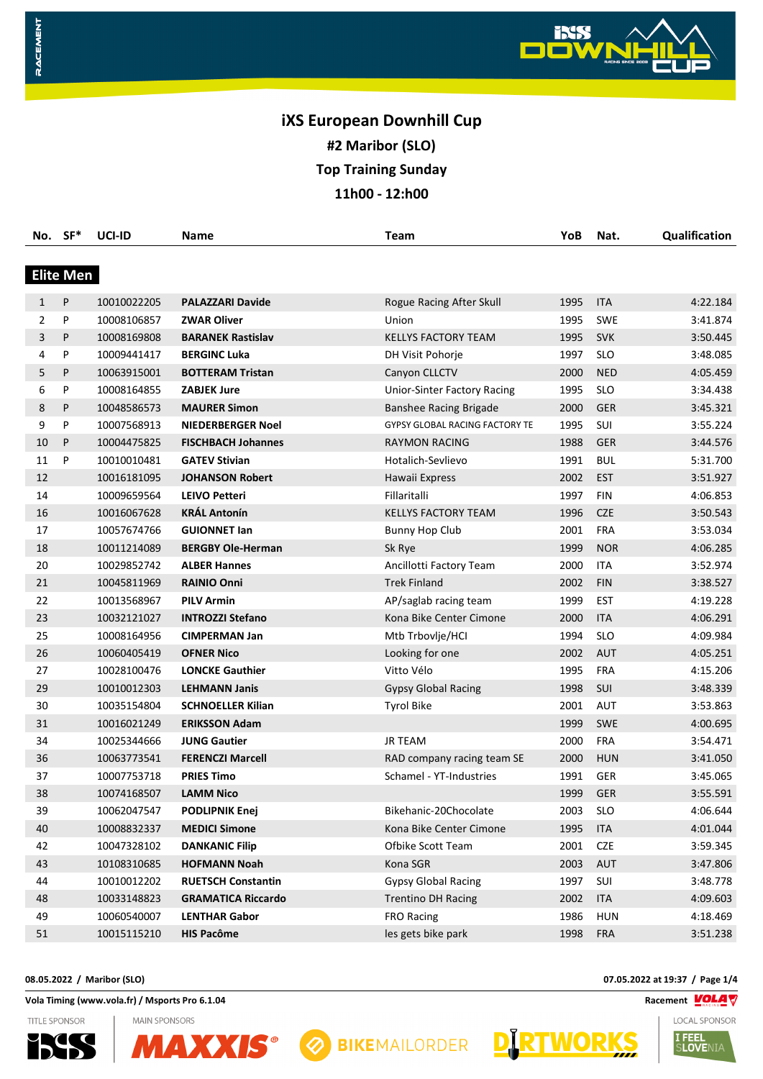

| No.          | $SF*$            | UCI-ID      | Name                      | <b>Team</b>                           | YoB  | Nat.       | Qualification |
|--------------|------------------|-------------|---------------------------|---------------------------------------|------|------------|---------------|
|              |                  |             |                           |                                       |      |            |               |
|              | <b>Elite Men</b> |             |                           |                                       |      |            |               |
| $\mathbf{1}$ | P                | 10010022205 | <b>PALAZZARI Davide</b>   | Rogue Racing After Skull              | 1995 | <b>ITA</b> | 4:22.184      |
| 2            | P                | 10008106857 | <b>ZWAR Oliver</b>        | Union                                 | 1995 | <b>SWE</b> | 3:41.874      |
| 3            | P                | 10008169808 | <b>BARANEK Rastislav</b>  | <b>KELLYS FACTORY TEAM</b>            | 1995 | <b>SVK</b> | 3:50.445      |
| 4            | P                | 10009441417 | <b>BERGINC Luka</b>       | DH Visit Pohorje                      | 1997 | <b>SLO</b> | 3:48.085      |
| 5            | P                | 10063915001 | <b>BOTTERAM Tristan</b>   | Canyon CLLCTV                         | 2000 | <b>NED</b> | 4:05.459      |
| 6            | P                | 10008164855 | <b>ZABJEK Jure</b>        | <b>Unior-Sinter Factory Racing</b>    | 1995 | <b>SLO</b> | 3:34.438      |
| 8            | P                | 10048586573 | <b>MAURER Simon</b>       | <b>Banshee Racing Brigade</b>         | 2000 | <b>GER</b> | 3:45.321      |
| 9            | P                | 10007568913 | <b>NIEDERBERGER Noel</b>  | <b>GYPSY GLOBAL RACING FACTORY TE</b> | 1995 | SUI        | 3:55.224      |
| 10           | P                | 10004475825 | <b>FISCHBACH Johannes</b> | <b>RAYMON RACING</b>                  | 1988 | <b>GER</b> | 3:44.576      |
| 11           | P                | 10010010481 | <b>GATEV Stivian</b>      | Hotalich-Sevlievo                     | 1991 | <b>BUL</b> | 5:31.700      |
| 12           |                  | 10016181095 | <b>JOHANSON Robert</b>    | Hawaii Express                        | 2002 | <b>EST</b> | 3:51.927      |
| 14           |                  | 10009659564 | <b>LEIVO Petteri</b>      | Fillaritalli                          | 1997 | <b>FIN</b> | 4:06.853      |
| 16           |                  | 10016067628 | <b>KRÁL Antonín</b>       | <b>KELLYS FACTORY TEAM</b>            | 1996 | <b>CZE</b> | 3:50.543      |
| 17           |                  | 10057674766 | <b>GUIONNET lan</b>       | <b>Bunny Hop Club</b>                 | 2001 | <b>FRA</b> | 3:53.034      |
| 18           |                  | 10011214089 | <b>BERGBY Ole-Herman</b>  | Sk Rye                                | 1999 | <b>NOR</b> | 4:06.285      |
| 20           |                  | 10029852742 | <b>ALBER Hannes</b>       | Ancillotti Factory Team               | 2000 | <b>ITA</b> | 3:52.974      |
| 21           |                  | 10045811969 | <b>RAINIO Onni</b>        | <b>Trek Finland</b>                   | 2002 | <b>FIN</b> | 3:38.527      |
| 22           |                  | 10013568967 | <b>PILV Armin</b>         | AP/saglab racing team                 | 1999 | <b>EST</b> | 4:19.228      |
| 23           |                  | 10032121027 | <b>INTROZZI Stefano</b>   | Kona Bike Center Cimone               | 2000 | <b>ITA</b> | 4:06.291      |
| 25           |                  | 10008164956 | <b>CIMPERMAN Jan</b>      | Mtb Trbovlje/HCI                      | 1994 | <b>SLO</b> | 4:09.984      |
| 26           |                  | 10060405419 | <b>OFNER Nico</b>         | Looking for one                       | 2002 | <b>AUT</b> | 4:05.251      |
| 27           |                  | 10028100476 | <b>LONCKE Gauthier</b>    | Vitto Vélo                            | 1995 | <b>FRA</b> | 4:15.206      |
| 29           |                  | 10010012303 | <b>LEHMANN Janis</b>      | <b>Gypsy Global Racing</b>            | 1998 | SUI        | 3:48.339      |
| 30           |                  | 10035154804 | <b>SCHNOELLER Kilian</b>  | <b>Tyrol Bike</b>                     | 2001 | AUT        | 3:53.863      |
| 31           |                  | 10016021249 | <b>ERIKSSON Adam</b>      |                                       | 1999 | <b>SWE</b> | 4:00.695      |
| 34           |                  | 10025344666 | <b>JUNG Gautier</b>       | <b>JR TEAM</b>                        | 2000 | <b>FRA</b> | 3:54.471      |
| 36           |                  | 10063773541 | <b>FERENCZI Marcell</b>   | RAD company racing team SE            | 2000 | <b>HUN</b> | 3:41.050      |
| 37           |                  | 10007753718 | <b>PRIES Timo</b>         | Schamel - YT-Industries               | 1991 | <b>GER</b> | 3:45.065      |
| 38           |                  | 10074168507 | <b>LAMM Nico</b>          |                                       | 1999 | <b>GER</b> | 3:55.591      |
| 39           |                  | 10062047547 | <b>PODLIPNIK Enej</b>     | Bikehanic-20Chocolate                 | 2003 | <b>SLO</b> | 4:06.644      |
| 40           |                  | 10008832337 | <b>MEDICI Simone</b>      | Kona Bike Center Cimone               | 1995 | <b>ITA</b> | 4:01.044      |
| 42           |                  | 10047328102 | <b>DANKANIC Filip</b>     | Ofbike Scott Team                     | 2001 | <b>CZE</b> | 3:59.345      |
| 43           |                  | 10108310685 | <b>HOFMANN Noah</b>       | Kona SGR                              | 2003 | AUT        | 3:47.806      |
| 44           |                  | 10010012202 | <b>RUETSCH Constantin</b> | <b>Gypsy Global Racing</b>            | 1997 | SUI        | 3:48.778      |
| 48           |                  | 10033148823 | <b>GRAMATICA Riccardo</b> | <b>Trentino DH Racing</b>             | 2002 | <b>ITA</b> | 4:09.603      |
| 49           |                  | 10060540007 | <b>LENTHAR Gabor</b>      | <b>FRO Racing</b>                     | 1986 | <b>HUN</b> | 4:18.469      |
| 51           |                  | 10015115210 | <b>HIS Pacôme</b>         | les gets bike park                    | 1998 | <b>FRA</b> | 3:51.238      |

**Vola Timing (www.vola.fr) / Msports Pro 6.1.04 Racement VOLAT** 



RACEMENT

**MAIN SPONSORS**  $S^*$ **AXX** 



**08.05.2022 / Maribor (SLO) 07.05.2022 at 19:37 / Page 1/4**

**D** RTWORKS

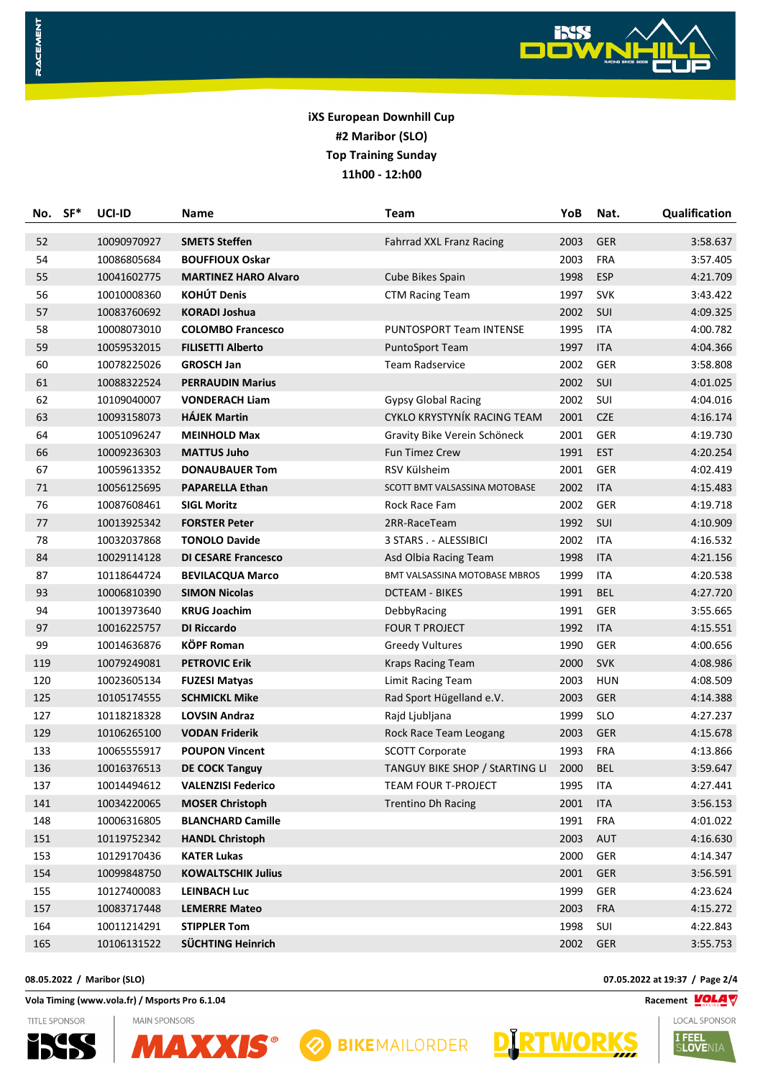

|     | No. SF* | UCI-ID      | Name                        | Team                            | YoB  | Nat.       | Qualification |
|-----|---------|-------------|-----------------------------|---------------------------------|------|------------|---------------|
| 52  |         | 10090970927 | <b>SMETS Steffen</b>        | <b>Fahrrad XXL Franz Racing</b> | 2003 | <b>GER</b> | 3:58.637      |
| 54  |         | 10086805684 | <b>BOUFFIOUX Oskar</b>      |                                 | 2003 | <b>FRA</b> | 3:57.405      |
| 55  |         | 10041602775 | <b>MARTINEZ HARO Alvaro</b> | Cube Bikes Spain                | 1998 | ESP        | 4:21.709      |
| 56  |         | 10010008360 | <b>KOHÚT Denis</b>          | <b>CTM Racing Team</b>          | 1997 | <b>SVK</b> | 3:43.422      |
| 57  |         | 10083760692 | <b>KORADI Joshua</b>        |                                 | 2002 | SUI        | 4:09.325      |
| 58  |         | 10008073010 | <b>COLOMBO Francesco</b>    | PUNTOSPORT Team INTENSE         | 1995 | <b>ITA</b> | 4:00.782      |
| 59  |         | 10059532015 | <b>FILISETTI Alberto</b>    | PuntoSport Team                 | 1997 | <b>ITA</b> | 4:04.366      |
| 60  |         | 10078225026 | <b>GROSCH Jan</b>           | <b>Team Radservice</b>          | 2002 | <b>GER</b> | 3:58.808      |
| 61  |         | 10088322524 | <b>PERRAUDIN Marius</b>     |                                 | 2002 | SUI        | 4:01.025      |
| 62  |         | 10109040007 | <b>VONDERACH Liam</b>       | <b>Gypsy Global Racing</b>      | 2002 | <b>SUI</b> | 4:04.016      |
| 63  |         | 10093158073 | <b>HÁJEK Martin</b>         | CYKLO KRYSTYNÍK RACING TEAM     | 2001 | <b>CZE</b> | 4:16.174      |
| 64  |         | 10051096247 | <b>MEINHOLD Max</b>         | Gravity Bike Verein Schöneck    | 2001 | <b>GER</b> | 4:19.730      |
| 66  |         | 10009236303 | <b>MATTUS Juho</b>          | <b>Fun Timez Crew</b>           | 1991 | <b>EST</b> | 4:20.254      |
| 67  |         | 10059613352 | <b>DONAUBAUER Tom</b>       | RSV Külsheim                    | 2001 | GER        | 4:02.419      |
| 71  |         | 10056125695 | <b>PAPARELLA Ethan</b>      | SCOTT BMT VALSASSINA MOTOBASE   | 2002 | <b>ITA</b> | 4:15.483      |
| 76  |         | 10087608461 | <b>SIGL Moritz</b>          | Rock Race Fam                   | 2002 | GER        | 4:19.718      |
| 77  |         | 10013925342 | <b>FORSTER Peter</b>        | 2RR-RaceTeam                    | 1992 | SUI        | 4:10.909      |
| 78  |         | 10032037868 | <b>TONOLO Davide</b>        | 3 STARS . - ALESSIBICI          | 2002 | <b>ITA</b> | 4:16.532      |
| 84  |         | 10029114128 | <b>DI CESARE Francesco</b>  | Asd Olbia Racing Team           | 1998 | <b>ITA</b> | 4:21.156      |
| 87  |         | 10118644724 | <b>BEVILACQUA Marco</b>     | BMT VALSASSINA MOTOBASE MBROS   | 1999 | <b>ITA</b> | 4:20.538      |
| 93  |         | 10006810390 | <b>SIMON Nicolas</b>        | <b>DCTEAM - BIKES</b>           | 1991 | <b>BEL</b> | 4:27.720      |
| 94  |         | 10013973640 | <b>KRUG Joachim</b>         | DebbyRacing                     | 1991 | GER        | 3:55.665      |
| 97  |         | 10016225757 | DI Riccardo                 | FOUR T PROJECT                  | 1992 | <b>ITA</b> | 4:15.551      |
| 99  |         | 10014636876 | <b>KÖPF Roman</b>           | <b>Greedy Vultures</b>          | 1990 | GER        | 4:00.656      |
| 119 |         | 10079249081 | <b>PETROVIC Erik</b>        | <b>Kraps Racing Team</b>        | 2000 | <b>SVK</b> | 4:08.986      |
| 120 |         | 10023605134 | <b>FUZESI Matyas</b>        | Limit Racing Team               | 2003 | <b>HUN</b> | 4:08.509      |
| 125 |         | 10105174555 | <b>SCHMICKL Mike</b>        | Rad Sport Hügelland e.V.        | 2003 | <b>GER</b> | 4:14.388      |
| 127 |         | 10118218328 | <b>LOVSIN Andraz</b>        | Rajd Ljubljana                  | 1999 | <b>SLO</b> | 4:27.237      |
| 129 |         | 10106265100 | <b>VODAN Friderik</b>       | Rock Race Team Leogang          | 2003 | <b>GER</b> | 4:15.678      |
| 133 |         | 10065555917 | <b>POUPON Vincent</b>       | <b>SCOTT Corporate</b>          | 1993 | <b>FRA</b> | 4:13.866      |
| 136 |         | 10016376513 | <b>DE COCK Tanguy</b>       | TANGUY BIKE SHOP / StARTING LI  | 2000 | <b>BEL</b> | 3:59.647      |
| 137 |         | 10014494612 | <b>VALENZISI Federico</b>   | <b>TEAM FOUR T-PROJECT</b>      | 1995 | ITA        | 4:27.441      |
| 141 |         | 10034220065 | <b>MOSER Christoph</b>      | <b>Trentino Dh Racing</b>       | 2001 | <b>ITA</b> | 3:56.153      |
| 148 |         | 10006316805 | <b>BLANCHARD Camille</b>    |                                 | 1991 | <b>FRA</b> | 4:01.022      |
| 151 |         | 10119752342 | <b>HANDL Christoph</b>      |                                 | 2003 | AUT        | 4:16.630      |
| 153 |         | 10129170436 | <b>KATER Lukas</b>          |                                 | 2000 | <b>GER</b> | 4:14.347      |
| 154 |         | 10099848750 | <b>KOWALTSCHIK Julius</b>   |                                 | 2001 | GER        | 3:56.591      |
| 155 |         | 10127400083 | <b>LEINBACH Luc</b>         |                                 | 1999 | GER        | 4:23.624      |
| 157 |         | 10083717448 | <b>LEMERRE Mateo</b>        |                                 | 2003 | <b>FRA</b> | 4:15.272      |
| 164 |         | 10011214291 | <b>STIPPLER Tom</b>         |                                 | 1998 | SUI        | 4:22.843      |
| 165 |         | 10106131522 | SÜCHTING Heinrich           |                                 | 2002 | <b>GER</b> | 3:55.753      |

**Vola Timing (www.vola.fr) / Msports Pro 6.1.04 Racement**  $\frac{VOLAV}{N}$ 



RACEMENT

**MAIN SPONSORS AXXIS®** 





**08.05.2022 / Maribor (SLO) 07.05.2022 at 19:37 / Page 2/4**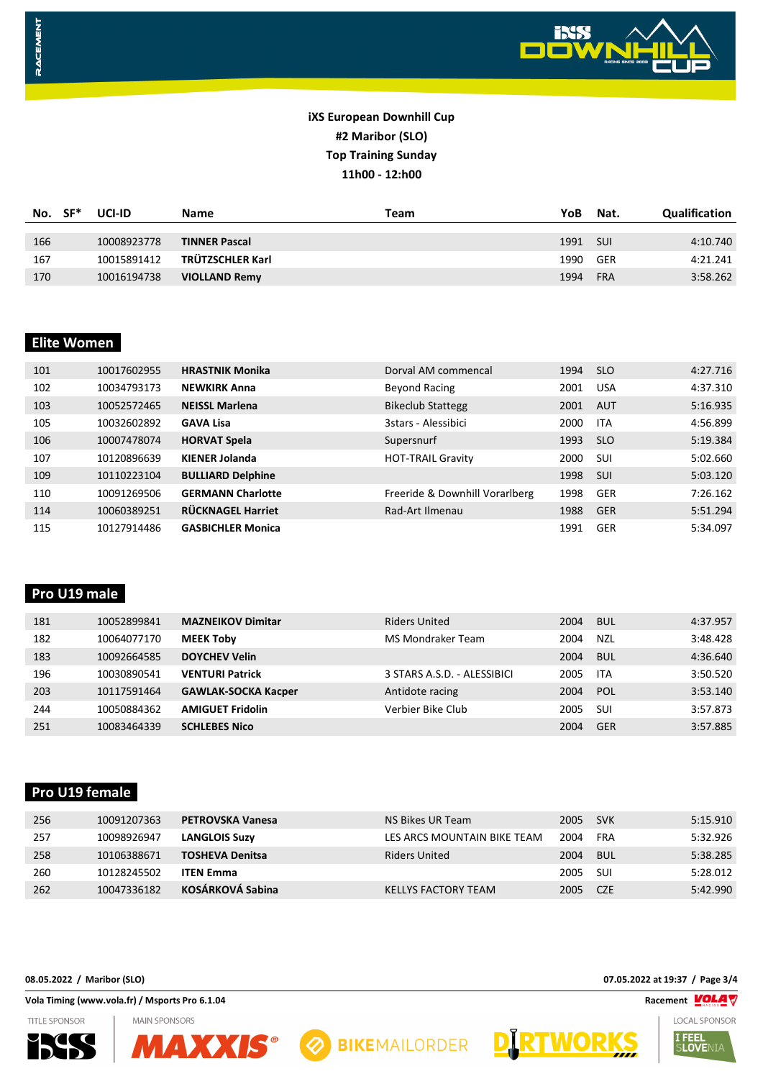

| No. | . SF* | UCI-ID      | <b>Name</b>          | Team | YoB  | Nat.       | <b>Qualification</b> |
|-----|-------|-------------|----------------------|------|------|------------|----------------------|
|     |       |             |                      |      |      |            |                      |
| 166 |       | 10008923778 | <b>TINNER Pascal</b> |      | 1991 | <b>SUI</b> | 4:10.740             |
| 167 |       | 10015891412 | TRÜTZSCHLER Karl     |      | 1990 | GER        | 4:21.241             |
| 170 |       | 10016194738 | <b>VIOLLAND Remy</b> |      | 1994 | <b>FRA</b> | 3:58.262             |

#### **Elite Women**

RACEMENT

| 101 | 10017602955 | <b>HRASTNIK Monika</b>   | Dorval AM commencal            | 1994 | <b>SLO</b> | 4:27.716 |
|-----|-------------|--------------------------|--------------------------------|------|------------|----------|
| 102 | 10034793173 | <b>NEWKIRK Anna</b>      | Beyond Racing                  | 2001 | <b>USA</b> | 4:37.310 |
| 103 | 10052572465 | <b>NEISSL Marlena</b>    | <b>Bikeclub Stattegg</b>       | 2001 | AUT        | 5:16.935 |
| 105 | 10032602892 | <b>GAVA Lisa</b>         | 3stars - Alessibici            | 2000 | <b>ITA</b> | 4:56.899 |
| 106 | 10007478074 | <b>HORVAT Spela</b>      | Supersnurf                     | 1993 | <b>SLO</b> | 5:19.384 |
| 107 | 10120896639 | <b>KIENER Jolanda</b>    | <b>HOT-TRAIL Gravity</b>       | 2000 | <b>SUI</b> | 5:02.660 |
| 109 | 10110223104 | <b>BULLIARD Delphine</b> |                                | 1998 | <b>SUI</b> | 5:03.120 |
| 110 | 10091269506 | <b>GERMANN Charlotte</b> | Freeride & Downhill Vorarlberg | 1998 | <b>GER</b> | 7:26.162 |
| 114 | 10060389251 | RÜCKNAGEL Harriet        | Rad-Art Ilmenau                | 1988 | GER        | 5:51.294 |
| 115 | 10127914486 | <b>GASBICHLER Monica</b> |                                | 1991 | GER        | 5:34.097 |

#### **Pro U19 male**

| 181 | 10052899841 | <b>MAZNEIKOV Dimitar</b>   | <b>Riders United</b>        | 2004 | <b>BUL</b> | 4:37.957 |
|-----|-------------|----------------------------|-----------------------------|------|------------|----------|
| 182 | 10064077170 | <b>MEEK Toby</b>           | MS Mondraker Team           | 2004 | <b>NZL</b> | 3:48.428 |
| 183 | 10092664585 | <b>DOYCHEV Velin</b>       |                             | 2004 | <b>BUL</b> | 4:36.640 |
| 196 | 10030890541 | <b>VENTURI Patrick</b>     | 3 STARS A.S.D. - ALESSIBICI | 2005 | <b>ITA</b> | 3:50.520 |
| 203 | 10117591464 | <b>GAWLAK-SOCKA Kacper</b> | Antidote racing             | 2004 | POL        | 3:53.140 |
| 244 | 10050884362 | <b>AMIGUET Fridolin</b>    | Verbier Bike Club           | 2005 | <b>SUI</b> | 3:57.873 |
| 251 | 10083464339 | <b>SCHLEBES Nico</b>       |                             | 2004 | GER        | 3:57.885 |

# **Pro U19 female**

| 256 | 10091207363 | <b>PETROVSKA Vanesa</b> | NS Bikes UR Team            | 2005     | <b>SVK</b> | 5:15.910 |
|-----|-------------|-------------------------|-----------------------------|----------|------------|----------|
| 257 | 10098926947 | <b>LANGLOIS Suzy</b>    | LES ARCS MOUNTAIN BIKE TEAM | 2004     | FRA        | 5:32.926 |
| 258 | 10106388671 | <b>TOSHEVA Denitsa</b>  | Riders United               | 2004     | BUL        | 5:38.285 |
| 260 | 10128245502 | <b>ITEN Emma</b>        |                             | 2005     | -SUI       | 5:28.012 |
| 262 | 10047336182 | <b>KOSÁRKOVÁ Sabina</b> | KELLYS FACTORY TEAM         | 2005 CZE |            | 5:42.990 |

#### **Vola Timing (www.vola.fr) / Msports Pro 6.1.04 Racement VOLAT**

**TITLE SPONSOR**